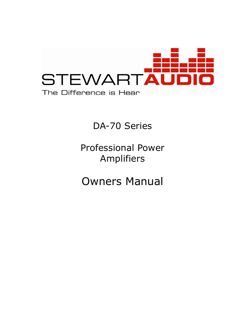

## DA-70 Series

## Professional Power Amplifiers

# Owners Manual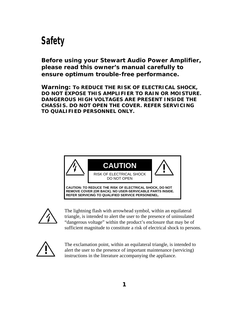## *Safety*

*Before using your Stewart Audio Power Amplifier, please read this owner's manual carefully to ensure optimum trouble-free performance.*

**Warning: To REDUCE THE RISK OF ELECTRICAL SHOCK, DO NOT EXPOSE THIS AMPLIFIER TO RAIN OR MOISTURE. DANGEROUS HIGH VOLTAGES ARE PRESENT INSIDE THE CHASSIS. DO NOT OPEN THE COVER. REFER SERVICING TO QUALIFIED PERSONNEL ONLY.**





The lightning flash with arrowhead symbol, within an equilateral triangle, is intended to alert the user to the presence of uninsulated "dangerous voltage" within the product's enclosure that may be of sufficient magnitude to constitute a risk of electrical shock to persons.



The exclamation point, within an equilateral triangle, is intended to alert the user to the presence of important maintenance (servicing) instructions in the literature accompanying the appliance.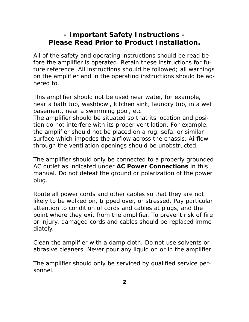#### **- Important Safety Instructions - Please Read Prior to Product Installation.**

All of the safety and operating instructions should be read before the amplifier is operated. Retain these instructions for future reference. All instructions should be followed; all warnings on the amplifier and in the operating instructions should be adhered to.

This amplifier should not be used near water, for example, near a bath tub, washbowl, kitchen sink, laundry tub, in a wet basement, near a swimming pool, etc The amplifier should be situated so that its location and position do not interfere with its proper ventilation. For example, the amplifier should not be placed on a rug, sofa, or similar surface which impedes the airflow across the chassis. Airflow through the ventilation openings should be unobstructed.

The amplifier should only be connected to a properly grounded AC outlet as indicated under *AC Power Connections* in this manual. Do not defeat the ground or polarization of the power plug.

Route all power cords and other cables so that they are not likely to be walked on, tripped over, or stressed. Pay particular attention to condition of cords and cables at plugs, and the point where they exit from the amplifier. To prevent risk of fire or injury, damaged cords and cables should be replaced immediately.

Clean the amplifier with a damp cloth. Do not use solvents or abrasive cleaners. Never pour any liquid on or in the amplifier.

The amplifier should only be serviced by qualified service personnel.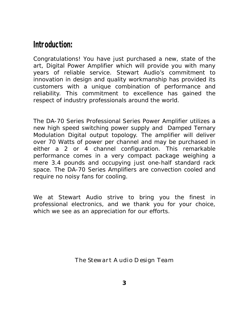### *Introduction:*

Congratulations! You have just purchased a new, state of the art, Digital Power Amplifier which will provide you with many years of reliable service. Stewart Audio's commitment to innovation in design and quality workmanship has provided its customers with a unique combination of performance and reliability. This commitment to excellence has gained the respect of industry professionals around the world.

The DA-70 Series Professional Series Power Amplifier utilizes a new high speed switching power supply and Damped Ternary Modulation Digital output topology. The amplifier will deliver over 70 Watts of power per channel and may be purchased in either a 2 or 4 channel configuration. This remarkable performance comes in a very compact package weighing a mere 3.4 pounds and occupying just one-half standard rack space. The DA-70 Series Amplifiers are convection cooled and require no noisy fans for cooling.

We at Stewart Audio strive to bring you the finest in professional electronics, and we thank you for your choice, which we see as an appreciation for our efforts.

The Stewart Audio Design Team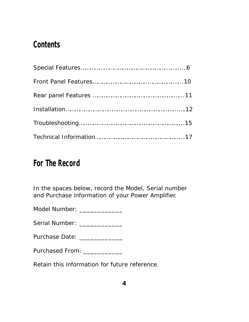## *Contents*

## *For The Record*

In the spaces below, record the Model, Serial number and Purchase information of your Power Amplifier.

Model Number: \_\_\_\_\_\_\_\_\_\_\_\_\_\_

Serial Number: \_\_\_\_\_\_\_\_\_\_\_\_\_\_

Purchase Date: \_\_\_\_\_\_\_\_\_\_\_\_\_\_

Purchased From: \_\_\_\_\_\_\_\_\_\_\_\_

Retain this information for future reference.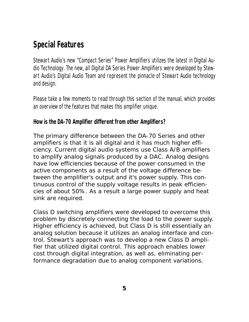## *Special Features*

Stewart Audio's new "Compact Series" Power Amplifiers utilizes the latest in Digital Audio Technology. The new, all Digital DA Series Power Amplifiers were developed by Stewart Audio's Digital Audio Team and represent the pinnacle of Stewart Audio technology and design.

Please take a few moments to read through this section of the manual, which provides an overview of the features that makes this amplifier unique.

#### **How is the DA-70 Amplifier different from other Amplifiers?**

The primary difference between the DA-70 Series and other amplifiers is that it is all digital and it has much higher efficiency. Current digital audio systems use Class A/B amplifiers to amplify analog signals produced by a DAC. Analog designs have low efficiencies because of the power consumed in the active components as a result of the voltage difference between the amplifier's output and it's power supply. This continuous control of the supply voltage results in peak efficiencies of about 50%. As a result a large power supply and heat sink are required.

Class D switching amplifiers were developed to overcome this problem by discretely connecting the load to the power supply. Higher efficiency is achieved, but Class D is still essentially an analog solution because it utilizes an analog interface and control. Stewart's approach was to develop a new Class D amplifier that utilized digital control. This approach enables lower cost through digital integration, as well as, eliminating performance degradation due to analog component variations.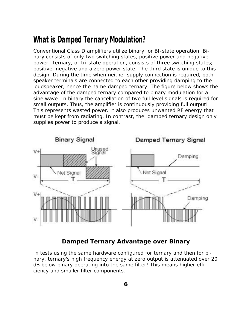### *What is Damped Ternary Modulation?*

Conventional Class D amplifiers utilize binary, or BI-state operation. Binary consists of only two switching states, positive power and negative power. Ternary, or tri-state operation, consists of three switching states; positive, negative and a zero power state. The third state is unique to this design. During the time when neither supply connection is required, both speaker terminals are connected to each other providing damping to the loudspeaker, hence the name damped ternary. The figure below shows the advantage of the damped ternary compared to binary modulation for a sine wave. In binary the cancellation of two full level signals is required for small outputs. Thus, the amplifier is continuously providing full output! This represents wasted power. It also produces unwanted RF energy that must be kept from radiating. In contrast, the damped ternary design only supplies power to produce a signal.



#### **Damped Ternary Advantage over Binary**

In tests using the same hardware configured for ternary and then for binary, ternary's high frequency energy at zero output is attenuated over 20 dB below binary operating into the same filter! This means higher efficiency and smaller filter components.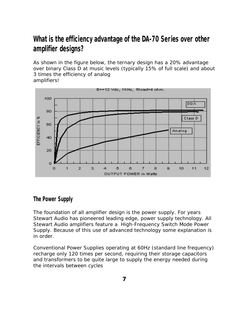### *What is the efficiency advantage of the DA-70 Series over other amplifier designs?*

As shown in the figure below, the ternary design has a 20% advantage over binary Class D at music levels (typically 15% of full scale) and about 3 times the efficiency of analog amplifiers!



#### *The Power Supply*

The foundation of all amplifier design is the power supply. For years Stewart Audio has pioneered leading edge, power supply technology. All Stewart Audio amplifiers feature a High-Frequency Switch Mode Power Supply. Because of this use of advanced technology some explanation is in order.

Conventional Power Supplies operating at 60Hz (standard line frequency) recharge only 120 times per second, requiring their storage capacitors and transformers to be quite large to supply the energy needed during the intervals between cycles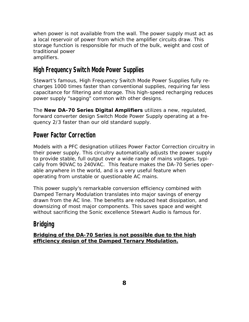when power is not available from the wall. The power supply must act as a local reservoir of power from which the amplifier circuits draw. This storage function is responsible for much of the bulk, weight and cost of traditional power amplifiers.

#### *High Frequency Switch Mode Power Supplies*

Stewart's famous, High Frequency Switch Mode Power Supplies fully recharges 1000 times faster than conventional supplies, requiring far less capacitance for filtering and storage. This high-speed recharging reduces power supply "sagging" common with other designs.

The **New DA-70 Series Digital Amplifiers** utilizes a new, regulated, forward converter design Switch Mode Power Supply operating at a frequency 2/3 faster than our old standard supply.

#### *Power Factor Correction*

Models with a PFC designation utilizes Power Factor Correction circuitry in their power supply. This circuitry automatically adjusts the power supply to provide stable, full output over a wide range of mains voltages, typically from 90VAC to 240VAC. This feature makes the DA-70 Series operable anywhere in the world, and is a very useful feature when operating from unstable or questionable AC mains.

This power supply's remarkable conversion efficiency combined with Damped Ternary Modulation translates into major savings of energy drawn from the AC line. The benefits are reduced heat dissipation, and downsizing of most major components. This saves space and weight without sacrificing the Sonic excellence Stewart Audio is famous for.

#### *Bridging*

**Bridging of the DA-70 Series is not possible due to the high efficiency design of the Damped Ternary Modulation.**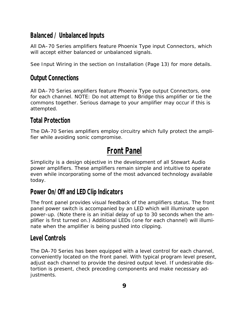#### *Balanced / Unbalanced Inputs*

All DA–70 Series amplifiers feature Phoenix Type input Connectors, which will accept either balanced or unbalanced signals.

See *Input Wiring* in the section on Installation (Page 13) for more details.

#### *Output Connections*

All DA–70 Series amplifiers feature Phoenix Type output Connectors, one for each channel. NOTE: Do not attempt to Bridge this amplifier or tie the commons together. Serious damage to your amplifier may occur if this is attempted.

#### *Total Protection*

The DA-70 Series amplifiers employ circuitry which fully protect the amplifier while avoiding sonic compromise.

## *Front Panel*

Simplicity is a design objective in the development of all Stewart Audio power amplifiers. These amplifiers remain simple and intuitive to operate even while incorporating some of the most advanced technology available today.

#### *Power On/Off and LED Clip Indicators*

The front panel provides visual feedback of the amplifiers status. The front panel power switch is accompanied by an LED which will illuminate upon power-up. (Note there is an initial delay of up to 30 seconds when the amplifier is first turned on.) Additional LEDs (one for each channel) will illuminate when the amplifier is being pushed into clipping.

#### *Level Controls*

The DA-70 Series has been equipped with a level control for each channel, conveniently located on the front panel. With typical program level present, adjust each channel to provide the desired output level. If undesirable distortion is present, check preceding components and make necessary adjustments.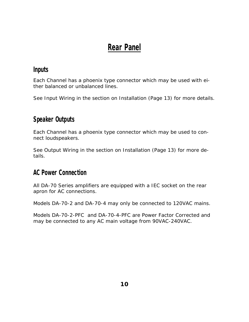## *Rear Panel*

#### *Inputs*

Each Channel has a phoenix type connector which may be used with either balanced or unbalanced lines.

See *Input Wiring* in the section on Installation (Page 13) for more details.

#### *Speaker Outputs*

Each Channel has a phoenix type connector which may be used to connect loudspeakers.

See *Output Wiring* in the section on Installation (Page 13) for more details.

#### *AC Power Connection*

All DA-70 Series amplifiers are equipped with a IEC socket on the rear apron for AC connections.

Models DA-70-2 and DA-70-4 may only be connected to 120VAC mains.

Models DA-70-2-PFC and DA-70-4-PFC are Power Factor Corrected and may be connected to any AC main voltage from 90VAC-240VAC.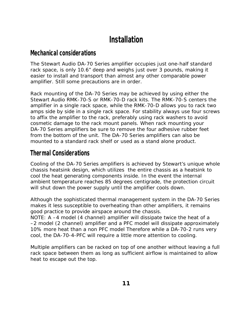## *Installation*

#### *Mechanical considerations*

The Stewart Audio DA-70 Series amplifier occupies just one-half standard rack space, is only 10.6" deep and weighs just over 3 pounds, making it easier to install and transport than almost any other comparable power amplifier. Still some precautions are in order.

Rack mounting of the DA-70 Series may be achieved by using either the Stewart Audio RMK-70-S or RMK-70-D rack kits. The RMK-70-S centers the amplifier in a single rack space, while the RMK-70-D allows you to rack two amps side by side in a single rack space. For stability always use four screws to affix the amplifier to the rack, preferably using rack washers to avoid cosmetic damage to the rack mount panels. When rack mounting your DA-70 Series amplifiers be sure to remove the four adhesive rubber feet from the bottom of the unit. The DA-70 Series amplifiers can also be mounted to a standard rack shelf or used as a stand alone product.

#### *Thermal Considerations*

Cooling of the DA-70 Series amplifiers is achieved by Stewart's unique whole chassis heatsink design, which utilizes the entire chassis as a heatsink to cool the heat generating components inside. In the event the internal ambient temperature reaches 85 degrees centigrade, the protection circuit will shut down the power supply until the amplifier cools down.

Although the sophisticated thermal management system in the DA-70 Series makes it less susceptible to overheating than other amplifiers, it remains good practice to provide airspace around the chassis.

NOTE: A –4 model (4 channel) amplifier will dissipate twice the heat of a –2 model (2 channel) amplifier and a PFC model will dissipate approximately 10% more heat than a non PFC model Therefore while a DA-70-2 runs very cool, the DA-70-4-PFC will require a little more attention to cooling.

Multiple amplifiers can be racked on top of one another without leaving a full rack space between them as long as sufficient airflow is maintained to allow heat to escape out the top.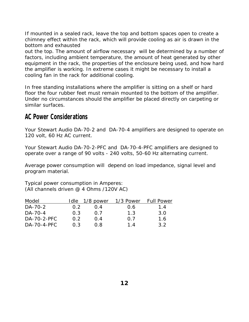If mounted in a sealed rack, leave the top and bottom spaces open to create a chimney effect within the rack, which will provide cooling as air is drawn in the bottom and exhausted

out the top. The amount of airflow necessary will be determined by a number of factors, including ambient temperature, the amount of heat generated by other equipment in the rack, the properties of the enclosure being used, and how hard the amplifier is working. In extreme cases it might be necessary to install a cooling fan in the rack for additional cooling.

In free standing installations where the amplifier is sitting on a shelf or hard floor the four rubber feet must remain mounted to the bottom of the amplifier. Under no circumstances should the amplifier be placed directly on carpeting or similar surfaces.

#### *AC Power Considerations*

Your Stewart Audio DA-70-2 and DA-70-4 amplifiers are designed to operate on 120 volt, 60 Hz AC current.

Your Stewart Audio DA-70-2-PFC and DA-70-4-PFC amplifiers are designed to operate over a range of 90 volts - 240 volts, 50-60 Hz alternating current.

Average power consumption will depend on load impedance, signal level and program material.

Typical power consumption in Amperes: (All channels driven @ 4 Ohms /120V AC)

| Model       | Idle | 1/8 power | 1/3 Power | <b>Full Power</b> |
|-------------|------|-----------|-----------|-------------------|
| DA-70-2     | 0.2  | $(1)$ . 4 | 0.6       | 1.4               |
| DA-70-4     | 0.3  | ()        | 1.3       | 3.0               |
| DA-70-2-PFC | 0 2  | 0.4       | 0 7       | 1.6               |
| DA-70-4-PFC | 0.3  | 0 R       | 14        | 3.2               |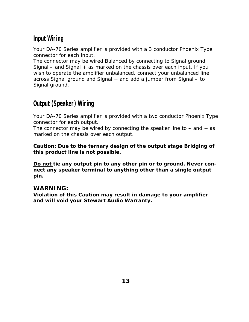#### *Input Wiring*

Your DA-70 Series amplifier is provided with a 3 conductor Phoenix Type connector for each input.

The connector may be wired Balanced by connecting to Signal ground, Signal – and Signal  $+$  as marked on the chassis over each input. If you wish to operate the amplifier unbalanced, connect your unbalanced line across Signal ground and Signal + and add a jumper from Signal – to Signal ground.

#### *Output (Speaker) Wiring*

Your DA-70 Series amplifier is provided with a two conductor Phoenix Type connector for each output.

The connector may be wired by connecting the speaker line to  $-$  and  $+$  as marked on the chassis over each output.

**Caution: Due to the ternary design of the output stage Bridging of this product line is not possible.**

**Do not tie any output pin to any other pin or to ground. Never connect any speaker terminal to anything other than a single output pin.** 

#### **WARNING:**

**Violation of this Caution may result in damage to your amplifier and will void your Stewart Audio Warranty.**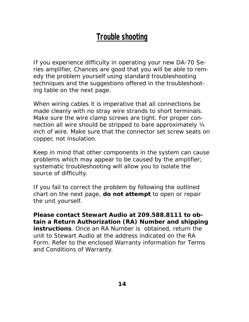## *Trouble shooting*

If you experience difficulty in operating your new DA-70 Series amplifier, Chances are good that you will be able to remedy the problem yourself using standard troubleshooting techniques and the suggestions offered in the troubleshooting table on the next page.

When wiring cables it is imperative that all connections be made cleanly with no stray wire strands to short terminals. Make sure the wire clamp screws are tight. For proper connection all wire should be stripped to bare approximately ¼ inch of wire. Make sure that the connector set screw seats on copper, not insulation.

Keep in mind that other components in the system can cause problems which may appear to be caused by the amplifier; systematic troubleshooting will allow you to isolate the source of difficulty.

If you fail to correct the problem by following the outlined chart on the next page, *do not attempt* to open or repair the unit yourself.

**Please contact Stewart Audio at 209.588.8111 to obtain a Return Authorization (RA) Number and shipping instructions**. Once an RA Number is obtained, return the unit to Stewart Audio at the address indicated on the RA Form. Refer to the enclosed Warranty information for Terms and Conditions of Warranty.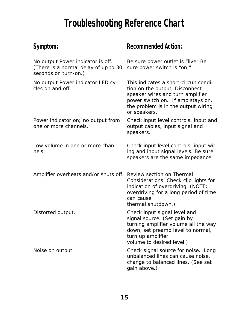# *Troubleshooting Reference Chart*

## **Symptom:**

| No output Power indicator is off.<br>(There is a normal delay of up to 30<br>seconds on turn-on.) | Be sure power outlet is "live" Be<br>sure power switch is "on."                                                                                                                                         |
|---------------------------------------------------------------------------------------------------|---------------------------------------------------------------------------------------------------------------------------------------------------------------------------------------------------------|
| No output Power indicator LED cy-<br>cles on and off.                                             | This indicates a short-circuit condi-<br>tion on the output. Disconnect<br>speaker wires and turn amplifier<br>power switch on. If amp stays on,<br>the problem is in the output wiring<br>or speakers. |
| Power indicator on; no output from<br>one or more channels.                                       | Check input level controls, input and<br>output cables, input signal and<br>speakers.                                                                                                                   |
| Low volume in one or more chan-<br>nels.                                                          | Check input level controls, input wir-<br>ing and input signal levels. Be sure<br>speakers are the same impedance.                                                                                      |
| Amplifier overheats and/or shuts off. Review section on Thermal                                   | Considerations. Check clip lights for<br>indication of overdriving. (NOTE:<br>overdriving for a long period of time<br>can cause<br>thermal shutdown.)                                                  |
| Distorted output.                                                                                 | Check input signal level and<br>signal source. (Set gain by<br>turning amplifier volume all the way<br>down, set preamp level to normal,<br>turn up amplifier<br>volume to desired level.)              |
| Noise on output.                                                                                  | Check signal source for noise. Long<br>unbalanced lines can cause noise,<br>change to balanced lines. (See set<br>gain above.)                                                                          |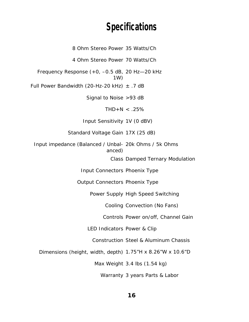## *Specifications*

8 Ohm Stereo Power 35 Watts/Ch 4 Ohm Stereo Power 70 Watts/Ch Frequency Response (+0, –0.5 dB, 20 Hz—20 kHz 1W) Full Power Bandwidth (20-Hz-20 kHz)  $\pm$  .7 dB Signal to Noise >93 dB  $THD+N < .25%$ Input Sensitivity 1V (0 dBV) Standard Voltage Gain 17X (25 dB) Input impedance (Balanced / Unbal-20k Ohms / 5k Ohms anced) Class Damped Ternary Modulation Input Connectors Phoenix Type Output Connectors Phoenix Type Power Supply High Speed Switching Cooling Convection (No Fans) Controls Power on/off, Channel Gain LED Indicators Power & Clip Construction Steel & Aluminum Chassis Dimensions (height, width, depth) 1.75"H x 8.26"W x 10.6"D Max Weight 3.4 lbs (1.54 kg) Warranty 3 years Parts & Labor